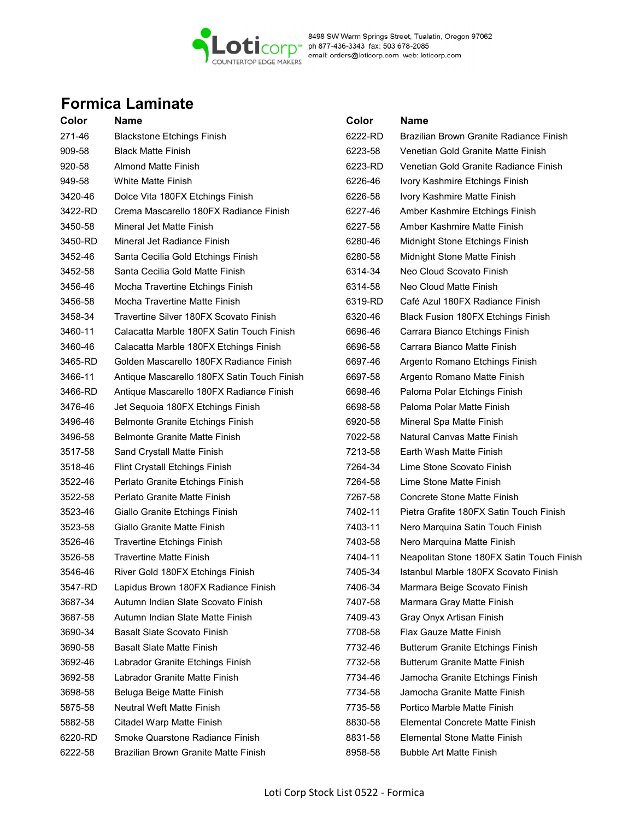

8498 SW Warm Springs Street, Tualatin, Oregon 97062<br>COUNTERTOP EDGE MAKERS<br>COUNTERTOP EDGE MAKERS<br>COUNTERTOP EDGE MAKERS

# Formica Laminate

| Color   | Name                                        | Color   | Name                                      |
|---------|---------------------------------------------|---------|-------------------------------------------|
| 271-46  | <b>Blackstone Etchings Finish</b>           | 6222-RD | Brazilian Brown Granite Radiance Finish   |
| 909-58  | <b>Black Matte Finish</b>                   | 6223-58 | Venetian Gold Granite Matte Finish        |
| 920-58  | Almond Matte Finish                         | 6223-RD | Venetian Gold Granite Radiance Finish     |
| 949-58  | <b>White Matte Finish</b>                   | 6226-46 | Ivory Kashmire Etchings Finish            |
| 3420-46 | Dolce Vita 180FX Etchings Finish            | 6226-58 | Ivory Kashmire Matte Finish               |
| 3422-RD | Crema Mascarello 180FX Radiance Finish      | 6227-46 | Amber Kashmire Etchings Finish            |
| 3450-58 | Mineral Jet Matte Finish                    | 6227-58 | Amber Kashmire Matte Finish               |
| 3450-RD | Mineral Jet Radiance Finish                 | 6280-46 | Midnight Stone Etchings Finish            |
| 3452-46 | Santa Cecilia Gold Etchings Finish          | 6280-58 | Midnight Stone Matte Finish               |
| 3452-58 | Santa Cecilia Gold Matte Finish             | 6314-34 | Neo Cloud Scovato Finish                  |
| 3456-46 | Mocha Travertine Etchings Finish            | 6314-58 | Neo Cloud Matte Finish                    |
| 3456-58 | Mocha Travertine Matte Finish               | 6319-RD | Café Azul 180FX Radiance Finish           |
| 3458-34 | Travertine Silver 180FX Scovato Finish      | 6320-46 | Black Fusion 180FX Etchings Finish        |
| 3460-11 | Calacatta Marble 180FX Satin Touch Finish   | 6696-46 | Carrara Bianco Etchings Finish            |
| 3460-46 | Calacatta Marble 180FX Etchings Finish      | 6696-58 | Carrara Bianco Matte Finish               |
| 3465-RD | Golden Mascarello 180FX Radiance Finish     | 6697-46 | Argento Romano Etchings Finish            |
| 3466-11 | Antique Mascarello 180FX Satin Touch Finish | 6697-58 | Argento Romano Matte Finish               |
| 3466-RD | Antique Mascarello 180FX Radiance Finish    | 6698-46 | Paloma Polar Etchings Finish              |
| 3476-46 | Jet Sequoia 180FX Etchings Finish           | 6698-58 | Paloma Polar Matte Finish                 |
| 3496-46 | Belmonte Granite Etchings Finish            | 6920-58 | Mineral Spa Matte Finish                  |
| 3496-58 | <b>Belmonte Granite Matte Finish</b>        | 7022-58 | Natural Canvas Matte Finish               |
| 3517-58 | Sand Crystall Matte Finish                  | 7213-58 | Earth Wash Matte Finish                   |
| 3518-46 | <b>Flint Crystall Etchings Finish</b>       | 7264-34 | Lime Stone Scovato Finish                 |
| 3522-46 | Perlato Granite Etchings Finish             | 7264-58 | Lime Stone Matte Finish                   |
| 3522-58 | Perlato Granite Matte Finish                | 7267-58 | <b>Concrete Stone Matte Finish</b>        |
| 3523-46 | Giallo Granite Etchings Finish              | 7402-11 | Pietra Grafite 180FX Satin Touch Finish   |
| 3523-58 | Giallo Granite Matte Finish                 | 7403-11 | Nero Marquina Satin Touch Finish          |
| 3526-46 | <b>Travertine Etchings Finish</b>           | 7403-58 | Nero Marquina Matte Finish                |
| 3526-58 | <b>Travertine Matte Finish</b>              | 7404-11 | Neapolitan Stone 180FX Satin Touch Finish |
| 3546-46 | River Gold 180FX Etchings Finish            | 7405-34 | Istanbul Marble 180FX Scovato Finish      |
| 3547-RD | Lapidus Brown 180FX Radiance Finish         | 7406-34 | Marmara Beige Scovato Finish              |
| 3687-34 | Autumn Indian Slate Scovato Finish          | 7407-58 | Marmara Gray Matte Finish                 |
| 3687-58 | Autumn Indian Slate Matte Finish            | 7409-43 | Gray Onyx Artisan Finish                  |
| 3690-34 | <b>Basalt Slate Scovato Finish</b>          | 7708-58 | Flax Gauze Matte Finish                   |
| 3690-58 | <b>Basalt Slate Matte Finish</b>            | 7732-46 | <b>Butterum Granite Etchings Finish</b>   |
| 3692-46 | Labrador Granite Etchings Finish            | 7732-58 | <b>Butterum Granite Matte Finish</b>      |
| 3692-58 | Labrador Granite Matte Finish               | 7734-46 | Jamocha Granite Etchings Finish           |
| 3698-58 | Beluga Beige Matte Finish                   | 7734-58 | Jamocha Granite Matte Finish              |
| 5875-58 | <b>Neutral Weft Matte Finish</b>            | 7735-58 | Portico Marble Matte Finish               |
| 5882-58 | Citadel Warp Matte Finish                   | 8830-58 | Elemental Concrete Matte Finish           |
| 6220-RD | Smoke Quarstone Radiance Finish             | 8831-58 | Elemental Stone Matte Finish              |
| 6222-58 | Brazilian Brown Granite Matte Finish        | 8958-58 | <b>Bubble Art Matte Finish</b>            |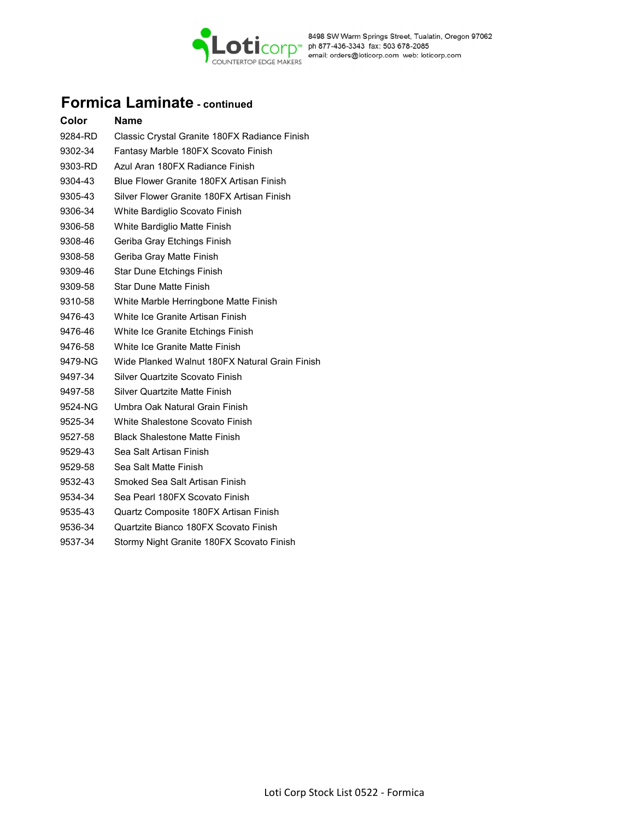

# Formica Laminate - continued

| Color   | Name                                           |
|---------|------------------------------------------------|
| 9284-RD | Classic Crystal Granite 180FX Radiance Finish  |
| 9302-34 | Fantasy Marble 180FX Scovato Finish            |
| 9303-RD | Azul Aran 180FX Radiance Finish                |
| 9304-43 | Blue Flower Granite 180FX Artisan Finish       |
| 9305-43 | Silver Flower Granite 180FX Artisan Finish     |
| 9306-34 | White Bardiglio Scovato Finish                 |
| 9306-58 | White Bardiglio Matte Finish                   |
| 9308-46 | Geriba Gray Etchings Finish                    |
| 9308-58 | Geriba Gray Matte Finish                       |
| 9309-46 | Star Dune Etchings Finish                      |
| 9309-58 | Star Dune Matte Finish                         |
| 9310-58 | White Marble Herringbone Matte Finish          |
| 9476-43 | White Ice Granite Artisan Finish               |
| 9476-46 | White Ice Granite Etchings Finish              |
| 9476-58 | White Ice Granite Matte Finish                 |
| 9479-NG | Wide Planked Walnut 180FX Natural Grain Finish |
| 9497-34 | Silver Quartzite Scovato Finish                |
| 9497-58 | Silver Quartzite Matte Finish                  |
| 9524-NG | Umbra Oak Natural Grain Finish                 |
| 9525-34 | White Shalestone Scovato Finish                |
| 9527-58 | <b>Black Shalestone Matte Finish</b>           |
| 9529-43 | Sea Salt Artisan Finish                        |
| 9529-58 | Sea Salt Matte Finish                          |
| 9532-43 | Smoked Sea Salt Artisan Finish                 |
| 9534-34 | Sea Pearl 180FX Scovato Finish                 |
| 9535-43 | Quartz Composite 180FX Artisan Finish          |
| 9536-34 | Quartzite Bianco 180FX Scovato Finish          |
| 9537-34 | Stormy Night Granite 180FX Scovato Finish      |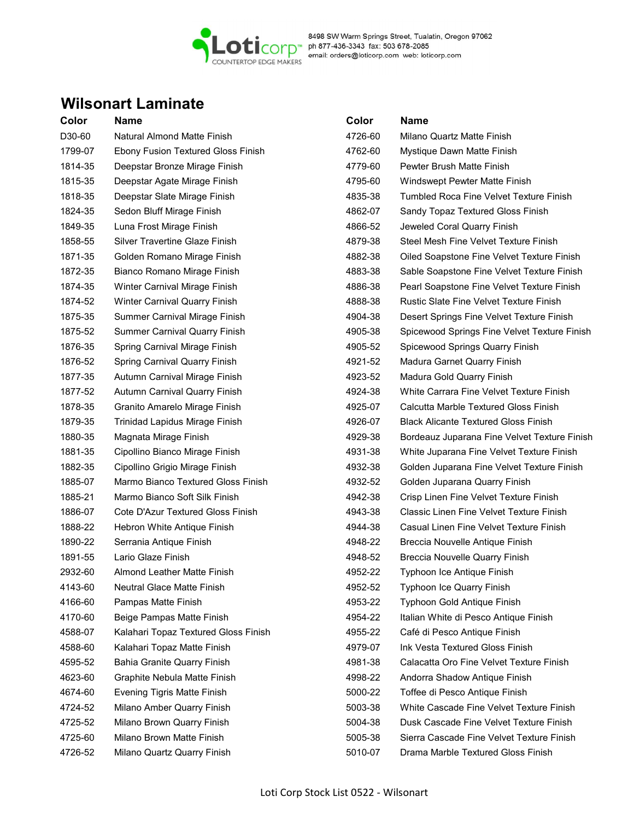

8498 SW Warm Springs Street, Tualatin, Oregon 97062<br>COUNTERTOP EDGE MAKERS<br>COUNTERTOP EDGE MAKERS

## Wilsonart Laminate

| Color   | Name                                 | Color   | <b>Name</b>                                    |
|---------|--------------------------------------|---------|------------------------------------------------|
| D30-60  | Natural Almond Matte Finish          | 4726-60 | Milano Quartz Matte Finish                     |
| 1799-07 | Ebony Fusion Textured Gloss Finish   | 4762-60 | Mystique Dawn Matte Finish                     |
| 1814-35 | Deepstar Bronze Mirage Finish        | 4779-60 | Pewter Brush Matte Finish                      |
| 1815-35 | Deepstar Agate Mirage Finish         | 4795-60 | Windswept Pewter Matte Finish                  |
| 1818-35 | Deepstar Slate Mirage Finish         | 4835-38 | Tumbled Roca Fine Velvet Texture Finish        |
| 1824-35 | Sedon Bluff Mirage Finish            | 4862-07 | Sandy Topaz Textured Gloss Finish              |
| 1849-35 | Luna Frost Mirage Finish             | 4866-52 | Jeweled Coral Quarry Finish                    |
| 1858-55 | Silver Travertine Glaze Finish       | 4879-38 | Steel Mesh Fine Velvet Texture Finish          |
| 1871-35 | Golden Romano Mirage Finish          | 4882-38 | Oiled Soapstone Fine Velvet Texture Finish     |
| 1872-35 | Bianco Romano Mirage Finish          | 4883-38 | Sable Soapstone Fine Velvet Texture Finish     |
| 1874-35 | Winter Carnival Mirage Finish        | 4886-38 | Pearl Soapstone Fine Velvet Texture Finish     |
| 1874-52 | Winter Carnival Quarry Finish        | 4888-38 | <b>Rustic Slate Fine Velvet Texture Finish</b> |
| 1875-35 | Summer Carnival Mirage Finish        | 4904-38 | Desert Springs Fine Velvet Texture Finish      |
| 1875-52 | <b>Summer Carnival Quarry Finish</b> | 4905-38 | Spicewood Springs Fine Velvet Texture Finish   |
| 1876-35 | Spring Carnival Mirage Finish        | 4905-52 | Spicewood Springs Quarry Finish                |
| 1876-52 | Spring Carnival Quarry Finish        | 4921-52 | Madura Garnet Quarry Finish                    |
| 1877-35 | Autumn Carnival Mirage Finish        | 4923-52 | Madura Gold Quarry Finish                      |
| 1877-52 | Autumn Carnival Quarry Finish        | 4924-38 | White Carrara Fine Velvet Texture Finish       |
| 1878-35 | Granito Amarelo Mirage Finish        | 4925-07 | Calcutta Marble Textured Gloss Finish          |
| 1879-35 | Trinidad Lapidus Mirage Finish       | 4926-07 | <b>Black Alicante Textured Gloss Finish</b>    |
| 1880-35 | Magnata Mirage Finish                | 4929-38 | Bordeauz Juparana Fine Velvet Texture Finish   |
| 1881-35 | Cipollino Bianco Mirage Finish       | 4931-38 | White Juparana Fine Velvet Texture Finish      |
| 1882-35 | Cipollino Grigio Mirage Finish       | 4932-38 | Golden Juparana Fine Velvet Texture Finish     |
| 1885-07 | Marmo Bianco Textured Gloss Finish   | 4932-52 | Golden Juparana Quarry Finish                  |
| 1885-21 | Marmo Bianco Soft Silk Finish        | 4942-38 | Crisp Linen Fine Velvet Texture Finish         |
| 1886-07 | Cote D'Azur Textured Gloss Finish    | 4943-38 | Classic Linen Fine Velvet Texture Finish       |
| 1888-22 | Hebron White Antique Finish          | 4944-38 | Casual Linen Fine Velvet Texture Finish        |
| 1890-22 | Serrania Antique Finish              | 4948-22 | Breccia Nouvelle Antique Finish                |
| 1891-55 | Lario Glaze Finish                   | 4948-52 | Breccia Nouvelle Quarry Finish                 |
| 2932-60 | Almond Leather Matte Finish          | 4952-22 | Typhoon Ice Antique Finish                     |
| 4143-60 | <b>Neutral Glace Matte Finish</b>    | 4952-52 | Typhoon Ice Quarry Finish                      |
| 4166-60 | Pampas Matte Finish                  | 4953-22 | Typhoon Gold Antique Finish                    |
| 4170-60 | Beige Pampas Matte Finish            | 4954-22 | Italian White di Pesco Antique Finish          |
| 4588-07 | Kalahari Topaz Textured Gloss Finish | 4955-22 | Café di Pesco Antique Finish                   |
| 4588-60 | Kalahari Topaz Matte Finish          | 4979-07 | Ink Vesta Textured Gloss Finish                |
| 4595-52 | <b>Bahia Granite Quarry Finish</b>   | 4981-38 | Calacatta Oro Fine Velvet Texture Finish       |
| 4623-60 | Graphite Nebula Matte Finish         | 4998-22 | Andorra Shadow Antique Finish                  |
| 4674-60 | <b>Evening Tigris Matte Finish</b>   | 5000-22 | Toffee di Pesco Antique Finish                 |
| 4724-52 | Milano Amber Quarry Finish           | 5003-38 | White Cascade Fine Velvet Texture Finish       |
| 4725-52 | Milano Brown Quarry Finish           | 5004-38 | Dusk Cascade Fine Velvet Texture Finish        |
| 4725-60 | Milano Brown Matte Finish            | 5005-38 | Sierra Cascade Fine Velvet Texture Finish      |
| 4726-52 | Milano Quartz Quarry Finish          | 5010-07 | Drama Marble Textured Gloss Finish             |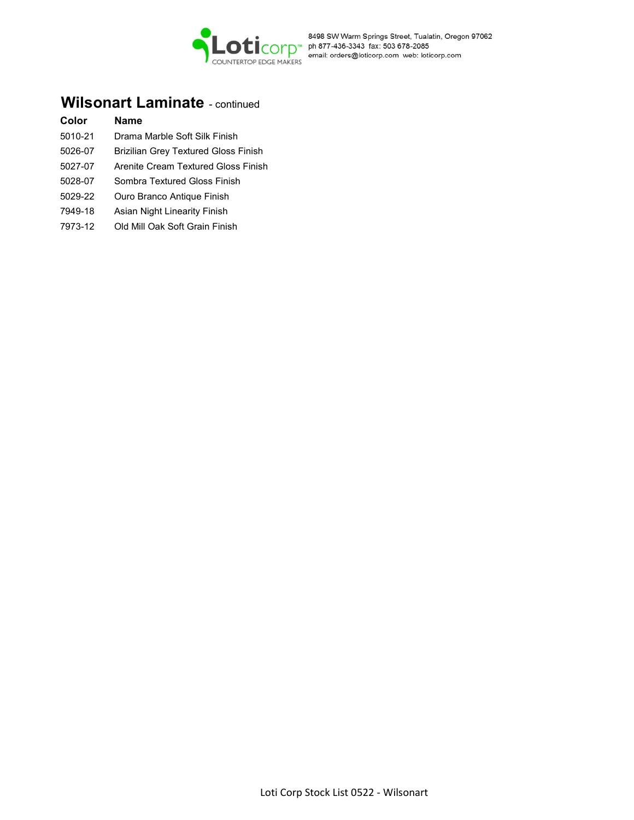

### Wilsonart Laminate - continued

#### Color Name

- 5010-21 Drama Marble Soft Silk Finish
- 5026-07 Brizilian Grey Textured Gloss Finish
- 5027-07 Arenite Cream Textured Gloss Finish
- 5028-07 Sombra Textured Gloss Finish
- 5029-22 Ouro Branco Antique Finish
- 7949-18 Asian Night Linearity Finish
- 7973-12 Old Mill Oak Soft Grain Finish